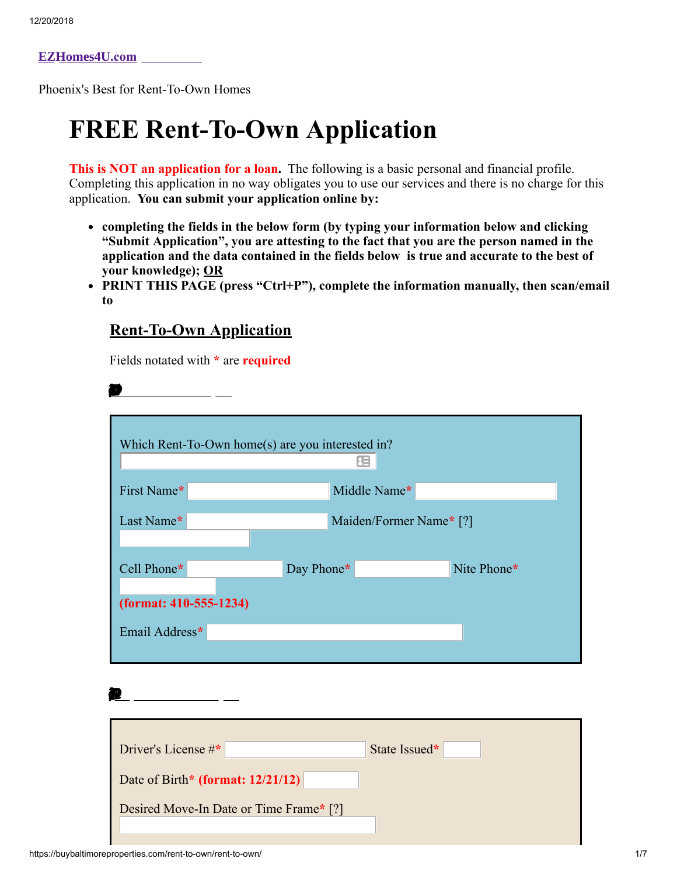**[EZHomes4U](https://buybaltimoreproperties.com/).com**

Phoenix's Best for Rent-To-Own Homes

## **FREE Rent-To-Own Application**

**This is NOT an application for a loan.** The following is a basic personal and financial profile. Completing this application in no way obligates you to use our services and there is no charge for this application. **You can submit your application online by:**

- **completing the fields in the below form (by typing your information below and clicking "Submit Application", you are attesting to the fact that you are the person named in the application and the data contained in the fields below is true and accurate to the best of your knowledge); OR**
- **PRINT THIS PAGE (press "Ctrl+P"), complete the information manually, then scan/email to**

## **Rent-To-Own Application**

Fields notated with **\*** are **required**

| Which Rent-To-Own home(s) are you interested in? |                         |             |
|--------------------------------------------------|-------------------------|-------------|
| First Name*                                      | Middle Name*            |             |
| Last Name*                                       | Maiden/Former Name* [?] |             |
| Cell Phone*                                      | Day Phone*              | Nite Phone* |
| (format: 410-555-1234)<br>Email Address*         |                         |             |
|                                                  |                         |             |
|                                                  |                         |             |
| Driver's License #*                              | State Issued*           |             |
| Date of Birth* (format: 12/21/12)                |                         |             |
| Desired Move-In Date or Time Frame* [?]          |                         |             |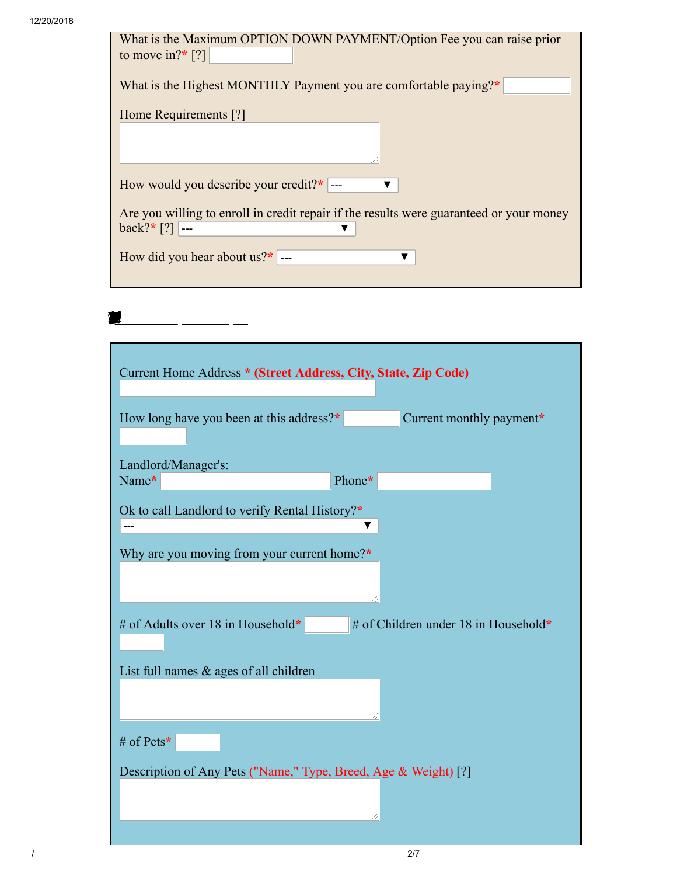RENTAL HISTORY

| What is the Maximum OPTION DOWN PAYMENT/Option Fee you can raise prior                  |  |  |
|-----------------------------------------------------------------------------------------|--|--|
| to move in?* [?]                                                                        |  |  |
|                                                                                         |  |  |
| What is the Highest MONTHLY Payment you are comfortable paying?*                        |  |  |
|                                                                                         |  |  |
| Home Requirements [?]                                                                   |  |  |
|                                                                                         |  |  |
|                                                                                         |  |  |
|                                                                                         |  |  |
| How would you describe your credit?* $\vert$ ---                                        |  |  |
|                                                                                         |  |  |
| Are you willing to enroll in credit repair if the results were guaranteed or your money |  |  |
| $\text{back?}^*$ [?] ---                                                                |  |  |
|                                                                                         |  |  |
| How did you hear about us? $*$ ---                                                      |  |  |
|                                                                                         |  |  |

| Current Home Address * (Street Address, City, State, Zip Code)                                |
|-----------------------------------------------------------------------------------------------|
| How long have you been at this address?*<br>Current monthly payment*                          |
| Landlord/Manager's:                                                                           |
| Phone*<br>Name*                                                                               |
| Ok to call Landlord to verify Rental History?*<br>Why are you moving from your current home?* |
|                                                                                               |
| # of Children under 18 in Household*<br># of Adults over 18 in Household*                     |
| List full names $\&$ ages of all children                                                     |
|                                                                                               |
| # of Pets*                                                                                    |
| Description of Any Pets ("Name," Type, Breed, Age & Weight) [?]                               |

/ 2/7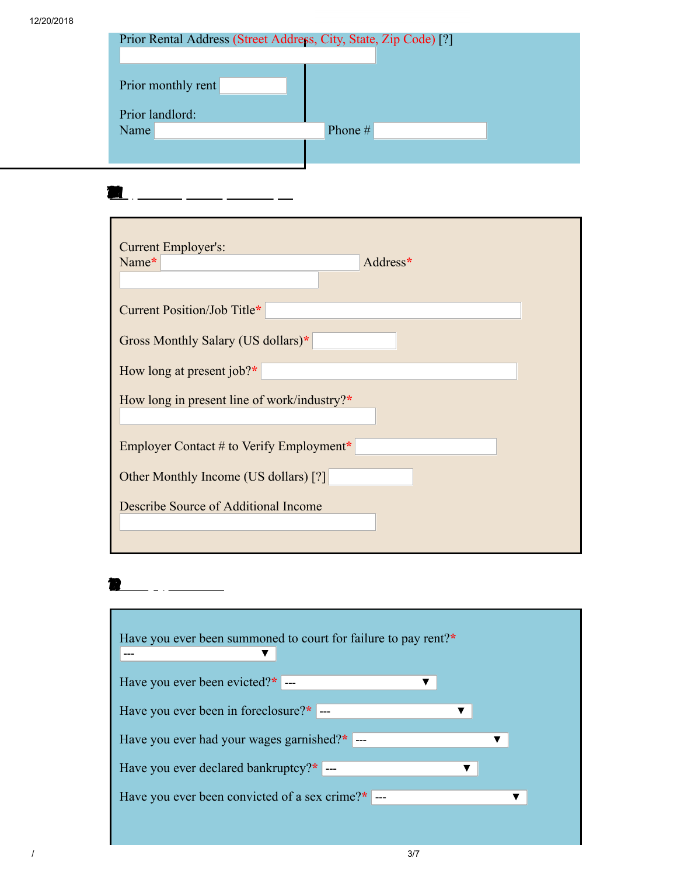| Prior Rental Address (Street Address, City, State, Zip Code) [?] |         |
|------------------------------------------------------------------|---------|
| Prior monthly rent                                               |         |
| Prior landlord:                                                  |         |
| Name                                                             | Phone # |
|                                                                  |         |
|                                                                  |         |

EMPLOYMENT HISORY

**R** 

| <b>Current Employer's:</b><br>Name*<br>Address* |
|-------------------------------------------------|
| Current Position/Job Title*                     |
| Gross Monthly Salary (US dollars)*              |
| How long at present job? $*$                    |
| How long in present line of work/industry?*     |
| Employer Contact # to Verify Employment*        |
| Other Monthly Income (US dollars) [?]           |
| Describe Source of Additional Income            |

| Have you ever been summoned to court for failure to pay rent?* |  |
|----------------------------------------------------------------|--|
|                                                                |  |
| Have you ever been evicted? $*$ ---                            |  |
| Have you ever been in foreclosure?*  ---<br>v                  |  |
| Have you ever had your wages garnished?*  ---                  |  |
| Have you ever declared bankruptcy?*  ---                       |  |
| Have you ever been convicted of a sex crime?*  ---             |  |
|                                                                |  |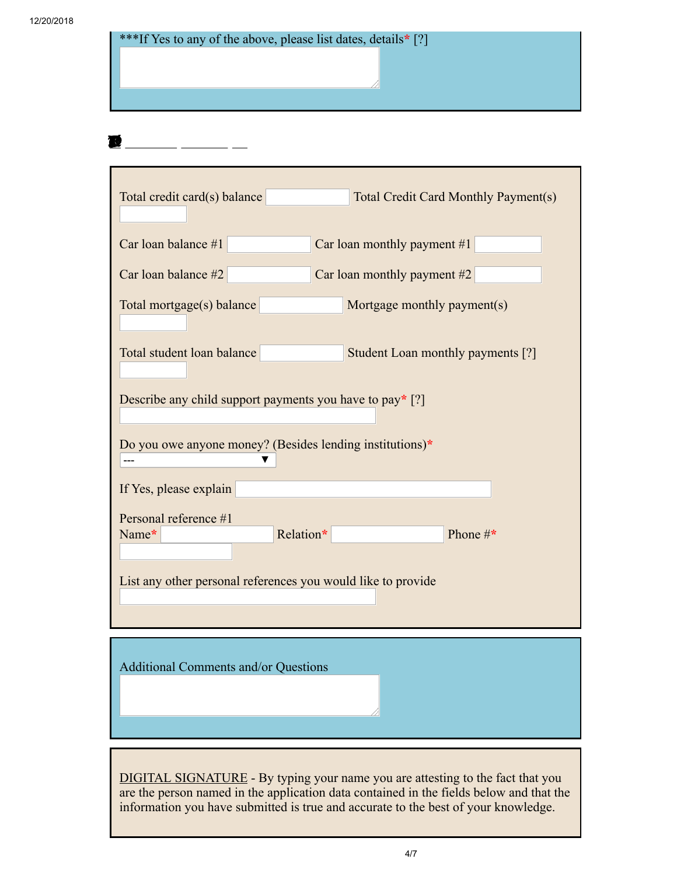| ***If Yes to any of the above, please list dates, details * [?]      |
|----------------------------------------------------------------------|
|                                                                      |
|                                                                      |
|                                                                      |
|                                                                      |
|                                                                      |
|                                                                      |
|                                                                      |
|                                                                      |
|                                                                      |
| Total credit card(s) balance<br>Total Credit Card Monthly Payment(s) |
|                                                                      |

| Car loan balance $#1$                                        | Car loan monthly payment $#1$     |
|--------------------------------------------------------------|-----------------------------------|
| Car loan balance $#2$<br>Car loan monthly payment $#2$       |                                   |
| Total mortgage(s) balance                                    | Mortgage monthly payment(s)       |
| Total student loan balance                                   | Student Loan monthly payments [?] |
| Describe any child support payments you have to pay* $[?]$   |                                   |
| Do you owe anyone money? (Besides lending institutions)*     |                                   |
| If Yes, please explain                                       |                                   |
| Personal reference #1<br>Name*                               | Relation*<br>Phone $\#^*$         |
| List any other personal references you would like to provide |                                   |

Additional Comments and/or Questions

**DIGITAL SIGNATURE** - By typing your name you are attesting to the fact that you are the person named in the application data contained in the fields below and that the information you have submitted is true and accurate to the best of your knowledge.